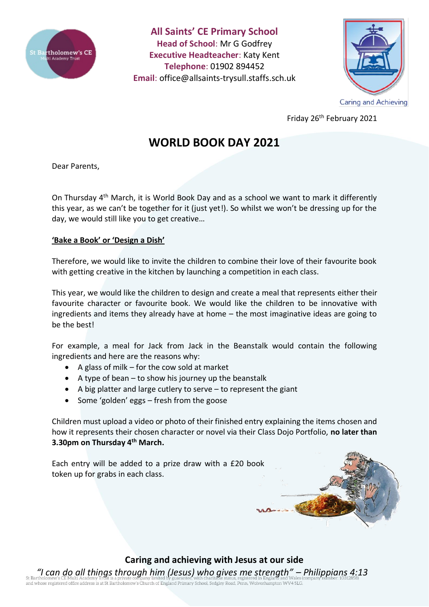

**All Saints' CE Primary School Head of School**: Mr G Godfrey **Executive Headteacher**: Katy Kent **Telephone**: 01902 894452 **Email**: [office@allsaints-trysull.staffs.sch.uk](mailto:office@allsaints-trysull.staffs.sch.uk)



Friday 26th February 2021

# **WORLD BOOK DAY 2021**

Dear Parents,

On Thursday 4th March, it is World Book Day and as a school we want to mark it differently this year, as we can't be together for it (just yet!). So whilst we won't be dressing up for the day, we would still like you to get creative…

# **'Bake a Book' or 'Design a Dish'**

Therefore, we would like to invite the children to combine their love of their favourite book with getting creative in the kitchen by launching a competition in each class.

This year, we would like the children to design and create a meal that represents either their favourite character or favourite book. We would like the children to be innovative with ingredients and items they already have at home – the most imaginative ideas are going to be the best!

For example, a meal for Jack from Jack in the Beanstalk would contain the following ingredients and here are the reasons why:

- A glass of milk for the cow sold at market
- A type of bean to show his journey up the beanstalk
- $\bullet$  A big platter and large cutlery to serve  $-$  to represent the giant
- Some 'golden' eggs fresh from the goose

Children must upload a video or photo of their finished entry explaining the items chosen and how it represents their chosen character or novel via their Class Dojo Portfolio, **no later than 3.30pm on Thursday 4th March.**

Each entry will be added to a prize draw with a £20 book token up for grabs in each class.



# **Caring and achieving with Jesus at our side**

*"I can do all things through him (Jesus) who gives me strength" – Philippians 4:13* of a different comparison of Englished Office address is at St Bartholomew's Church of England Primary School, Sedgley Road, Penn, Wolverhampton WV4 5LG.